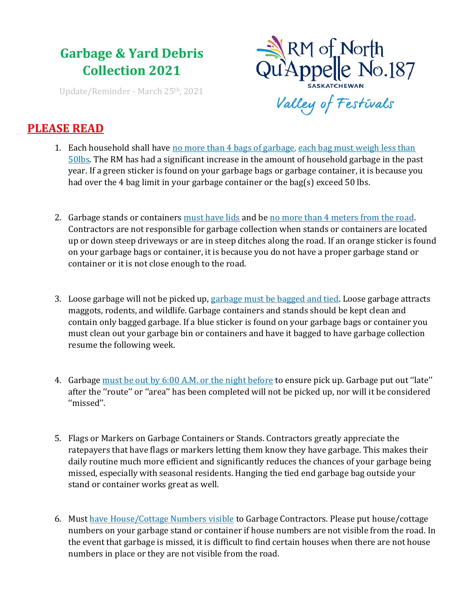## **Garbage & Yard Debris Collection 2021**

Update/Reminder - March 25th, 2021



## **PLEASE READ**

- 1. Each household shall have no more than 4 bags of garbage, each bag must weigh less than 50lbs. The RM has had a significant increase in the amount of household garbage in the past year. If a green sticker is found on your garbage bags or garbage container, it is because you had over the 4 bag limit in your garbage container or the bag(s) exceed 50 lbs.
- 2. Garbage stands or containers must have lids and be no more than 4 meters from the road. Contractors are not responsible for garbage collection when stands or containers are located up or down steep driveways or are in steep ditches along the road. If an orange sticker is found on your garbage bags or container, it is because you do not have a proper garbage stand or container or it is not close enough to the road.
- 3. Loose garbage will not be picked up, garbage must be bagged and tied. Loose garbage attracts maggots, rodents, and wildlife. Garbage containers and stands should be kept clean and contain only bagged garbage. If a blue sticker is found on your garbage bags or container you must clean out your garbage bin or containers and have it bagged to have garbage collection resume the following week.
- 4. Garbage must be out by 6:00 A.M. or the night before to ensure pick up. Garbage put out ''late'' after the ''route'' or ''area'' has been completed will not be picked up, nor will it be considered ''missed''.
- 5. Flags or Markers on Garbage Containers or Stands. Contractors greatly appreciate the ratepayers that have flags or markers letting them know they have garbage. This makes their daily routine much more efficient and significantly reduces the chances of your garbage being missed, especially with seasonal residents. Hanging the tied end garbage bag outside your stand or container works great as well.
- 6. Must have House/Cottage Numbers visible to Garbage Contractors. Please put house/cottage numbers on your garbage stand or container if house numbers are not visible from the road. In the event that garbage is missed, it is difficult to find certain houses when there are not house numbers in place or they are not visible from the road.